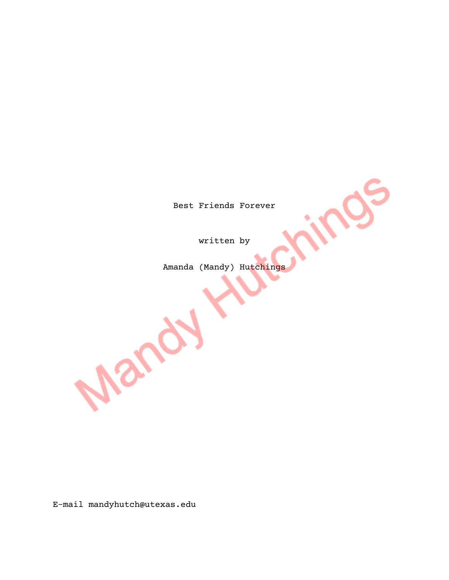Best Friends Forever

written by

Amanda (Mandy) Hutchings

E-mail mandyhutch@utexas.edu

Mandy M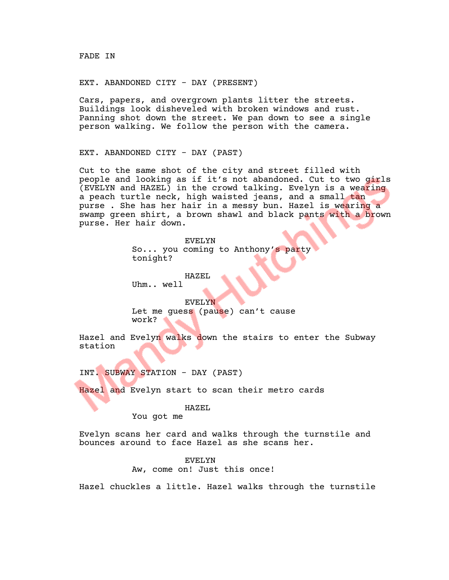### EXT. ABANDONED CITY - DAY (PRESENT)

Cars, papers, and overgrown plants litter the streets. Buildings look disheveled with broken windows and rust. Panning shot down the street. We pan down to see a single person walking. We follow the person with the camera.

EXT. ABANDONED CITY - DAY (PAST)

Cut to the same shot of the city and street filled with people and looking as if it's not abandoned. Cut to two girls (EVELYN and HAZEL) in the crowd talking. Evelyn is a wearing a peach turtle neck, high waisted jeans, and a small tan purse . She has her hair in a messy bun. Hazel is wearing a swamp green shirt, a brown shawl and black pants with a brown purse. Her hair down.

> EVELYN So... you coming to Anthony's party tonight?

HAZEL Uhm.. well

EVELYN Let me guess (pause) can't cause work?

Hazel and Evelyn walks down the stairs to enter the Subway station

INT. SUBWAY STATION - DAY (PAST)

Hazel and Evelyn start to scan their metro cards

HAZEL

You got me

Evelyn scans her card and walks through the turnstile and bounces around to face Hazel as she scans her.

#### EVELYN

Aw, come on! Just this once!

Hazel chuckles a little. Hazel walks through the turnstile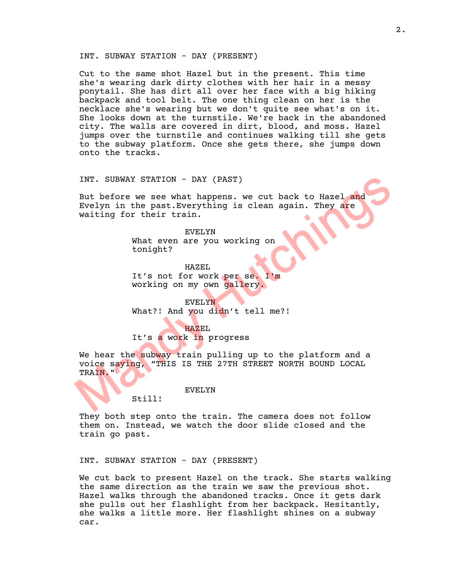## INT. SUBWAY STATION - DAY (PRESENT)

Cut to the same shot Hazel but in the present. This time she's wearing dark dirty clothes with her hair in a messy ponytail. She has dirt all over her face with a big hiking backpack and tool belt. The one thing clean on her is the necklace she's wearing but we don't quite see what's on it. She looks down at the turnstile. We're back in the abandoned city. The walls are covered in dirt, blood, and moss. Hazel jumps over the turnstile and continues walking till she gets to the subway platform. Once she gets there, she jumps down onto the tracks.

INT. SUBWAY STATION - DAY (PAST)

But before we see what happens. we cut back to Hazel and Evelyn in the past. Everything is clean again. They are waiting for their train.

> EVELYN What even are you working on tonight?

HAZEL It's not for work per se. I'm working on my own gallery.

EVELYN What?! And you didn't tell me?!

HAZEL It's a work in progress

We hear the subway train pulling up to the platform and a voice saying, "THIS IS THE 27TH STREET NORTH BOUND LOCAL TRAIN."

EVELYN

Still!

They both step onto the train. The camera does not follow them on. Instead, we watch the door slide closed and the train go past.

INT. SUBWAY STATION - DAY (PRESENT)

We cut back to present Hazel on the track. She starts walking the same direction as the train we saw the previous shot. Hazel walks through the abandoned tracks. Once it gets dark she pulls out her flashlight from her backpack. Hesitantly, she walks a little more. Her flashlight shines on a subway car.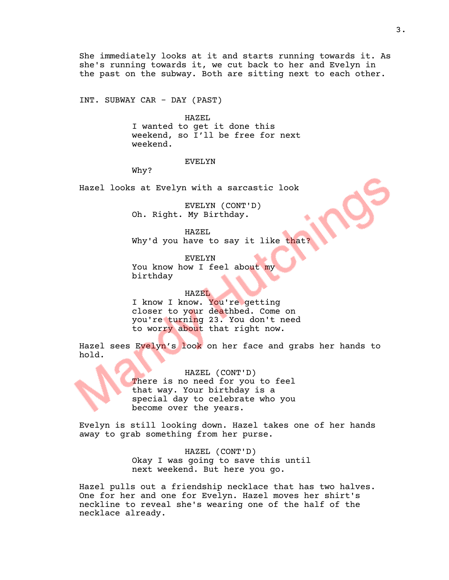She immediately looks at it and starts running towards it. As she's running towards it, we cut back to her and Evelyn in the past on the subway. Both are sitting next to each other.

INT. SUBWAY CAR - DAY (PAST)

HAZEL I wanted to get it done this weekend, so I'll be free for next weekend.

# EVELYN

Why?

Hazel looks at Evelyn with a sarcastic look

EVELYN (CONT'D) Oh. Right. My Birthday.

HAZEL Why'd you have to say it like that?

EVELYN You know how I feel about my birthday

#### HAZEL

I know I know. You're getting closer to your deathbed. Come on you're turning 23. You don't need to worry about that right now.

Hazel sees Evelyn's look on her face and grabs her hands to hold.

> HAZEL (CONT'D) There is no need for you to feel that way. Your birthday is a special day to celebrate who you become over the years.

Evelyn is still looking down. Hazel takes one of her hands away to grab something from her purse.

> HAZEL (CONT'D) Okay I was going to save this until next weekend. But here you go.

Hazel pulls out a friendship necklace that has two halves. One for her and one for Evelyn. Hazel moves her shirt's neckline to reveal she's wearing one of the half of the necklace already.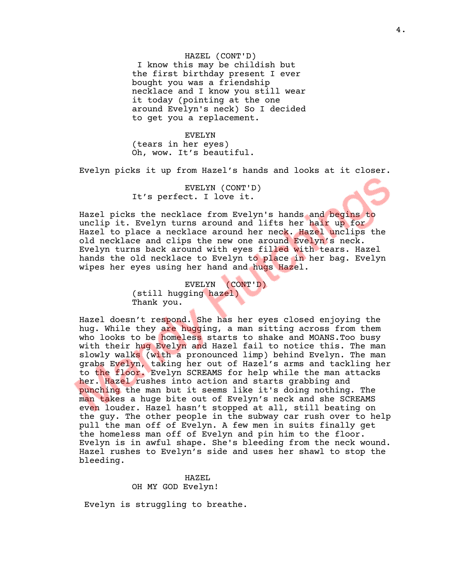HAZEL (CONT'D) I know this may be childish but the first birthday present I ever bought you was a friendship necklace and I know you still wear it today (pointing at the one around Evelyn's neck) So I decided to get you a replacement.

EVELYN (tears in her eyes) Oh, wow. It's beautiful.

Evelyn picks it up from Hazel's hands and looks at it closer.

EVELYN (CONT'D) It's perfect. I love it.

Hazel picks the necklace from Evelyn's hands and begins to unclip it. Evelyn turns around and lifts her hair up for Hazel to place a necklace around her neck. Hazel unclips the old necklace and clips the new one around Evelyn's neck. Evelyn turns back around with eyes filled with tears. Hazel hands the old necklace to Evelyn to place in her bag. Evelyn wipes her eyes using her hand and hugs Hazel.

> EVELYN (CONT'D) (still hugging hazel) Thank you.

Hazel doesn't respond. She has her eyes closed enjoying the hug. While they are hugging, a man sitting across from them who looks to be homeless starts to shake and MOANS.Too busy with their hug Evelyn and Hazel fail to notice this. The man slowly walks (with a pronounced limp) behind Evelyn. The man grabs Evelyn, taking her out of Hazel's arms and tackling her to the floor. Evelyn SCREAMS for help while the man attacks her. Hazel rushes into action and starts grabbing and punching the man but it seems like it's doing nothing. The man takes a huge bite out of Evelyn's neck and she SCREAMS even louder. Hazel hasn't stopped at all, still beating on the guy. The other people in the subway car rush over to help pull the man off of Evelyn. A few men in suits finally get the homeless man off of Evelyn and pin him to the floor. Evelyn is in awful shape. She's bleeding from the neck wound. Hazel rushes to Evelyn's side and uses her shawl to stop the bleeding.

> HAZEL OH MY GOD Evelyn!

Evelyn is struggling to breathe.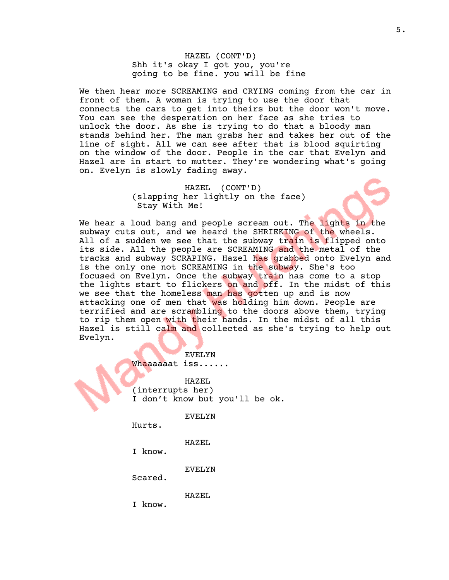HAZEL (CONT'D) Shh it's okay I got you, you're going to be fine. you will be fine

We then hear more SCREAMING and CRYING coming from the car in front of them. A woman is trying to use the door that connects the cars to get into theirs but the door won't move. You can see the desperation on her face as she tries to unlock the door. As she is trying to do that a bloody man stands behind her. The man grabs her and takes her out of the line of sight. All we can see after that is blood squirting on the window of the door. People in the car that Evelyn and Hazel are in start to mutter. They're wondering what's going on. Evelyn is slowly fading away.

> HAZEL (CONT'D) (slapping her lightly on the face) Stay With Me!

We hear a loud bang and people scream out. The lights in the subway cuts out, and we heard the SHRIEKING of the wheels. All of a sudden we see that the subway train is flipped onto its side. All the people are SCREAMING and the metal of the tracks and subway SCRAPING. Hazel has grabbed onto Evelyn and is the only one not SCREAMING in the subway. She's too focused on Evelyn. Once the subway train has come to a stop the lights start to flickers on and off. In the midst of this we see that the homeless man has gotten up and is now attacking one of men that was holding him down. People are terrified and are scrambling to the doors above them, trying to rip them open with their hands. In the midst of all this Hazel is still calm and collected as she's trying to help out Evelyn.

> EVELYN Whaaaaaat iss......

HAZEL (interrupts her) I don't know but you'll be ok.

EVELYN

Hurts.

HAZEL

I know.

EVELYN

Scared.

HAZEL

I know.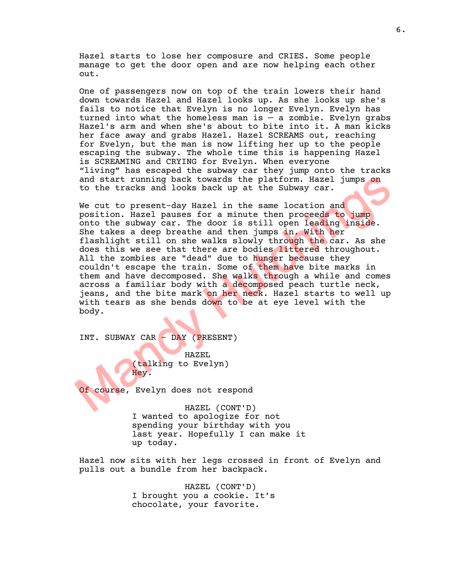Hazel starts to lose her composure and CRIES. Some people manage to get the door open and are now helping each other out.

One of passengers now on top of the train lowers their hand down towards Hazel and Hazel looks up. As she looks up she's fails to notice that Evelyn is no longer Evelyn. Evelyn has turned into what the homeless man is  $-$  a zombie. Evelyn grabs Hazel's arm and when she's about to bite into it. A man kicks her face away and grabs Hazel. Hazel SCREAMS out, reaching for Evelyn, but the man is now lifting her up to the people escaping the subway. The whole time this is happening Hazel is SCREAMING and CRYING for Evelyn. When everyone "living" has escaped the subway car they jump onto the tracks and start running back towards the platform. Hazel jumps on to the tracks and looks back up at the Subway car.

We cut to present-day Hazel in the same location and position. Hazel pauses for a minute then proceeds to jump onto the subway car. The door is still open leading inside. She takes a deep breathe and then jumps in. With her flashlight still on she walks slowly through the car. As she does this we see that there are bodies littered throughout. All the zombies are "dead" due to hunger because they couldn't escape the train. Some of them have bite marks in them and have decomposed. She walks through a while and comes across a familiar body with a decomposed peach turtle neck, jeans, and the bite mark on her neck. Hazel starts to well up with tears as she bends down to be at eye level with the body.

INT. SUBWAY CAR - DAY (PRESENT)

HAZEL (talking to Evelyn) Hey.

Of course, Evelyn does not respond

HAZEL (CONT'D) I wanted to apologize for not spending your birthday with you last year. Hopefully I can make it up today.

Hazel now sits with her legs crossed in front of Evelyn and pulls out a bundle from her backpack.

> HAZEL (CONT'D) I brought you a cookie. It's chocolate, your favorite.